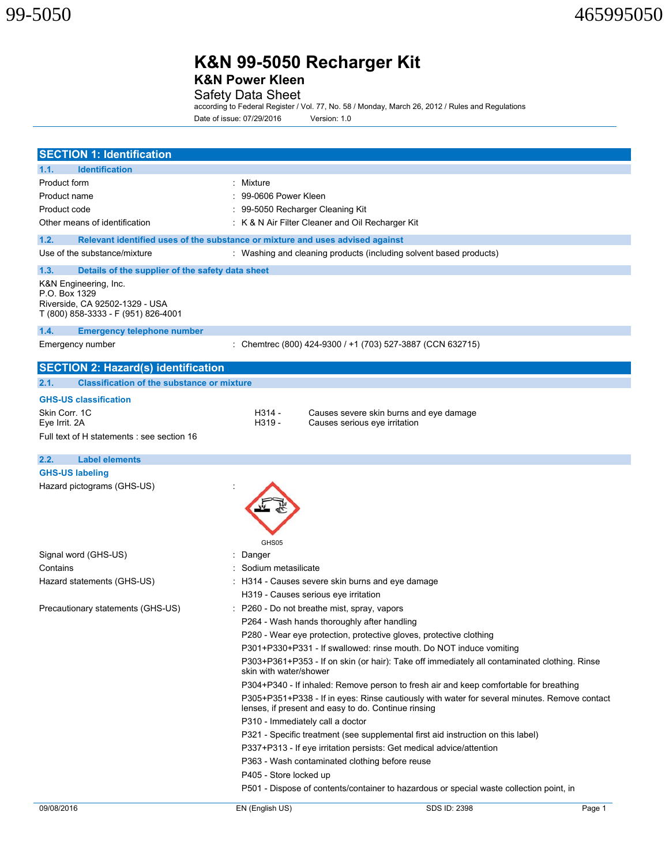**K&N Power Kleen** 

Safety Data Sheet<br>according to Federal Register / Vol. 77, No. 58 / Monday, March 26, 2012 / Rules and Regulations Date of issue: 07/29/2016 Version: 1.0

| <b>SECTION 1: Identification</b>                                                                                |                                                                                                                        |        |  |  |  |
|-----------------------------------------------------------------------------------------------------------------|------------------------------------------------------------------------------------------------------------------------|--------|--|--|--|
| <b>Identification</b><br>1.1.                                                                                   |                                                                                                                        |        |  |  |  |
| Product form                                                                                                    | : Mixture                                                                                                              |        |  |  |  |
| Product name                                                                                                    | 99-0606 Power Kleen                                                                                                    |        |  |  |  |
| Product code                                                                                                    | 99-5050 Recharger Cleaning Kit                                                                                         |        |  |  |  |
| Other means of identification                                                                                   | : K & N Air Filter Cleaner and Oil Recharger Kit                                                                       |        |  |  |  |
| 1.2.                                                                                                            | Relevant identified uses of the substance or mixture and uses advised against                                          |        |  |  |  |
| Use of the substance/mixture                                                                                    | : Washing and cleaning products (including solvent based products)                                                     |        |  |  |  |
| 1.3.<br>Details of the supplier of the safety data sheet                                                        |                                                                                                                        |        |  |  |  |
| K&N Engineering, Inc.<br>P.O. Box 1329<br>Riverside, CA 92502-1329 - USA<br>T (800) 858-3333 - F (951) 826-4001 |                                                                                                                        |        |  |  |  |
| 1.4.<br><b>Emergency telephone number</b>                                                                       |                                                                                                                        |        |  |  |  |
| Emergency number                                                                                                | : Chemtrec (800) 424-9300 / +1 (703) 527-3887 (CCN 632715)                                                             |        |  |  |  |
| <b>SECTION 2: Hazard(s) identification</b>                                                                      |                                                                                                                        |        |  |  |  |
| <b>Classification of the substance or mixture</b><br>2.1.                                                       |                                                                                                                        |        |  |  |  |
| <b>GHS-US classification</b>                                                                                    |                                                                                                                        |        |  |  |  |
| Skin Corr. 1C                                                                                                   | H314 -<br>Causes severe skin burns and eye damage                                                                      |        |  |  |  |
| Eye Irrit. 2A                                                                                                   | H319 -<br>Causes serious eye irritation                                                                                |        |  |  |  |
| Full text of H statements : see section 16                                                                      |                                                                                                                        |        |  |  |  |
| <b>Label elements</b><br>2.2.                                                                                   |                                                                                                                        |        |  |  |  |
| <b>GHS-US labeling</b>                                                                                          |                                                                                                                        |        |  |  |  |
| Hazard pictograms (GHS-US)                                                                                      | GHS05                                                                                                                  |        |  |  |  |
| Signal word (GHS-US)                                                                                            | Danger                                                                                                                 |        |  |  |  |
| Contains                                                                                                        | Sodium metasilicate                                                                                                    |        |  |  |  |
| Hazard statements (GHS-US)                                                                                      | : H314 - Causes severe skin burns and eye damage<br>H319 - Causes serious eye irritation                               |        |  |  |  |
| Precautionary statements (GHS-US)                                                                               | P260 - Do not breathe mist, spray, vapors                                                                              |        |  |  |  |
|                                                                                                                 | P264 - Wash hands thoroughly after handling                                                                            |        |  |  |  |
|                                                                                                                 | P280 - Wear eye protection, protective gloves, protective clothing                                                     |        |  |  |  |
|                                                                                                                 | P301+P330+P331 - If swallowed: rinse mouth. Do NOT induce vomiting                                                     |        |  |  |  |
|                                                                                                                 | P303+P361+P353 - If on skin (or hair): Take off immediately all contaminated clothing. Rinse<br>skin with water/shower |        |  |  |  |
|                                                                                                                 | P304+P340 - If inhaled: Remove person to fresh air and keep comfortable for breathing                                  |        |  |  |  |
|                                                                                                                 | P305+P351+P338 - If in eyes: Rinse cautiously with water for several minutes. Remove contact                           |        |  |  |  |
|                                                                                                                 | lenses, if present and easy to do. Continue rinsing                                                                    |        |  |  |  |
|                                                                                                                 | P310 - Immediately call a doctor                                                                                       |        |  |  |  |
|                                                                                                                 | P321 - Specific treatment (see supplemental first aid instruction on this label)                                       |        |  |  |  |
|                                                                                                                 | P337+P313 - If eye irritation persists: Get medical advice/attention                                                   |        |  |  |  |
|                                                                                                                 | P363 - Wash contaminated clothing before reuse                                                                         |        |  |  |  |
|                                                                                                                 | P405 - Store locked up                                                                                                 |        |  |  |  |
|                                                                                                                 | P501 - Dispose of contents/container to hazardous or special waste collection point, in                                |        |  |  |  |
| 09/08/2016                                                                                                      | SDS ID: 2398<br>EN (English US)                                                                                        | Page 1 |  |  |  |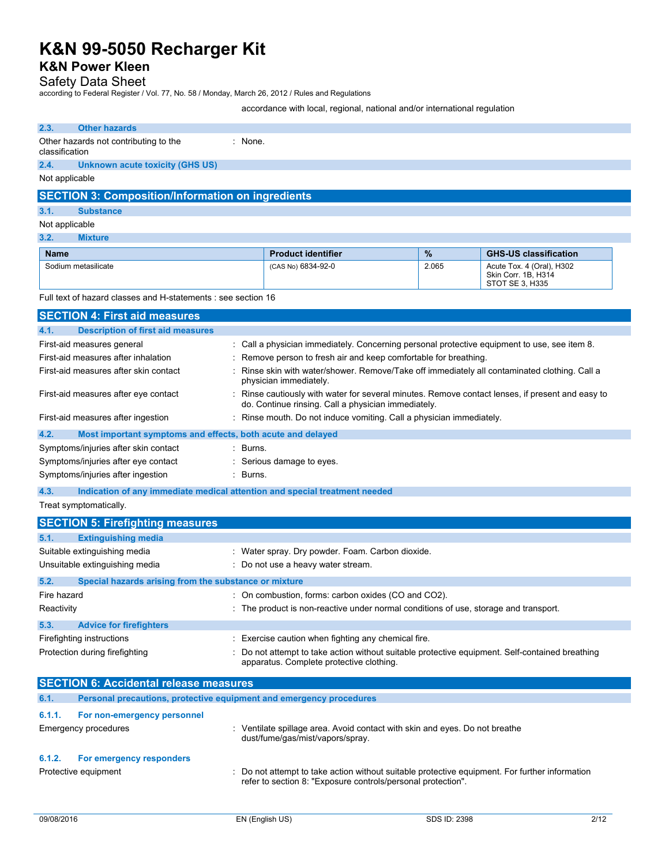# **K&N Power Kleen**

## Safety Data Sheet

according to Federal Register / Vol. 77, No. 58 / Monday, March 26, 2012 / Rules and Regulations

accordance with local, regional, national and/or international regulation

| 2.3.           | <b>Other hazards</b>                                                       |          |                                                                                                                                                              |       |                                                                     |
|----------------|----------------------------------------------------------------------------|----------|--------------------------------------------------------------------------------------------------------------------------------------------------------------|-------|---------------------------------------------------------------------|
|                | Other hazards not contributing to the                                      | : None.  |                                                                                                                                                              |       |                                                                     |
| classification |                                                                            |          |                                                                                                                                                              |       |                                                                     |
| 2.4.           | Unknown acute toxicity (GHS US)                                            |          |                                                                                                                                                              |       |                                                                     |
| Not applicable |                                                                            |          |                                                                                                                                                              |       |                                                                     |
|                | <b>SECTION 3: Composition/Information on ingredients</b>                   |          |                                                                                                                                                              |       |                                                                     |
| 3.1.           | <b>Substance</b>                                                           |          |                                                                                                                                                              |       |                                                                     |
| Not applicable |                                                                            |          |                                                                                                                                                              |       |                                                                     |
| 3.2.           | <b>Mixture</b>                                                             |          |                                                                                                                                                              |       |                                                                     |
| <b>Name</b>    |                                                                            |          | <b>Product identifier</b>                                                                                                                                    | $\%$  | <b>GHS-US classification</b>                                        |
|                | Sodium metasilicate                                                        |          | (CAS No) 6834-92-0                                                                                                                                           | 2.065 | Acute Tox. 4 (Oral), H302<br>Skin Corr. 1B, H314<br>STOT SE 3, H335 |
|                | Full text of hazard classes and H-statements : see section 16              |          |                                                                                                                                                              |       |                                                                     |
|                | <b>SECTION 4: First aid measures</b>                                       |          |                                                                                                                                                              |       |                                                                     |
| 4.1.           | <b>Description of first aid measures</b>                                   |          |                                                                                                                                                              |       |                                                                     |
|                | First-aid measures general                                                 |          | : Call a physician immediately. Concerning personal protective equipment to use, see item 8.                                                                 |       |                                                                     |
|                | First-aid measures after inhalation                                        |          | Remove person to fresh air and keep comfortable for breathing.                                                                                               |       |                                                                     |
|                | First-aid measures after skin contact                                      |          | Rinse skin with water/shower. Remove/Take off immediately all contaminated clothing. Call a<br>physician immediately.                                        |       |                                                                     |
|                | First-aid measures after eye contact                                       |          | : Rinse cautiously with water for several minutes. Remove contact lenses, if present and easy to<br>do. Continue rinsing. Call a physician immediately.      |       |                                                                     |
|                | First-aid measures after ingestion                                         |          | Rinse mouth. Do not induce vomiting. Call a physician immediately.                                                                                           |       |                                                                     |
| 4.2.           | Most important symptoms and effects, both acute and delayed                |          |                                                                                                                                                              |       |                                                                     |
|                | Symptoms/injuries after skin contact                                       | : Burns. |                                                                                                                                                              |       |                                                                     |
|                | Symptoms/injuries after eye contact                                        |          | : Serious damage to eyes.                                                                                                                                    |       |                                                                     |
|                | Symptoms/injuries after ingestion                                          | : Burns. |                                                                                                                                                              |       |                                                                     |
| 4.3.           | Indication of any immediate medical attention and special treatment needed |          |                                                                                                                                                              |       |                                                                     |
|                | Treat symptomatically.                                                     |          |                                                                                                                                                              |       |                                                                     |
|                | <b>SECTION 5: Firefighting measures</b>                                    |          |                                                                                                                                                              |       |                                                                     |
| 5.1.           | <b>Extinguishing media</b>                                                 |          |                                                                                                                                                              |       |                                                                     |
|                | Suitable extinguishing media                                               |          | : Water spray. Dry powder. Foam. Carbon dioxide.                                                                                                             |       |                                                                     |
|                | Unsuitable extinguishing media                                             |          | : Do not use a heavy water stream.                                                                                                                           |       |                                                                     |
| 5.2.           | Special hazards arising from the substance or mixture                      |          |                                                                                                                                                              |       |                                                                     |
| Fire hazard    |                                                                            |          | : On combustion, forms: carbon oxides (CO and CO2).                                                                                                          |       |                                                                     |
| Reactivity     |                                                                            |          | The product is non-reactive under normal conditions of use, storage and transport.                                                                           |       |                                                                     |
| 5.3.           | <b>Advice for firefighters</b>                                             |          |                                                                                                                                                              |       |                                                                     |
|                | Firefighting instructions                                                  |          | Exercise caution when fighting any chemical fire.                                                                                                            |       |                                                                     |
|                | Protection during firefighting                                             |          | Do not attempt to take action without suitable protective equipment. Self-contained breathing                                                                |       |                                                                     |
|                |                                                                            |          | apparatus. Complete protective clothing.                                                                                                                     |       |                                                                     |
|                | <b>SECTION 6: Accidental release measures</b>                              |          |                                                                                                                                                              |       |                                                                     |
| 6.1.           | Personal precautions, protective equipment and emergency procedures        |          |                                                                                                                                                              |       |                                                                     |
| 6.1.1.         | For non-emergency personnel                                                |          |                                                                                                                                                              |       |                                                                     |
|                | <b>Emergency procedures</b>                                                |          | : Ventilate spillage area. Avoid contact with skin and eyes. Do not breathe<br>dust/fume/gas/mist/vapors/spray.                                              |       |                                                                     |
| 6.1.2.         | For emergency responders                                                   |          |                                                                                                                                                              |       |                                                                     |
|                | Protective equipment                                                       |          | Do not attempt to take action without suitable protective equipment. For further information<br>refer to section 8: "Exposure controls/personal protection". |       |                                                                     |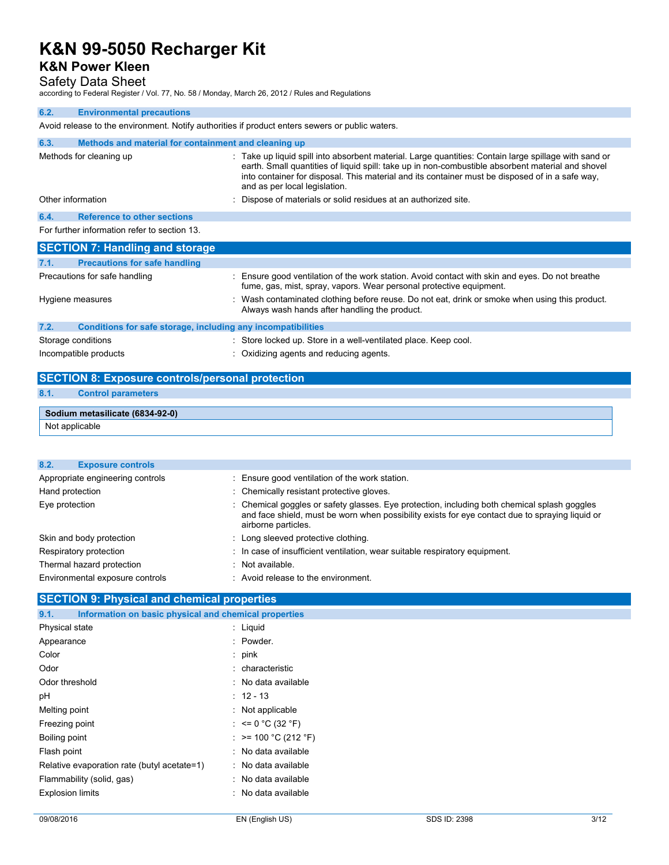# **K&N Power Kleen**

## Safety Data Sheet

according to Federal Register / Vol. 77, No. 58 / Monday, March 26, 2012 / Rules and Regulations

## **6.2. Environmental precautions**  Avoid release to the environment. Notify authorities if product enters sewers or public waters. **6.3. Methods and material for containment and cleaning up**  Methods for cleaning up example of the state up liquid spill into absorbent material. Large quantities: Contain large spillage with sand or earth. Small quantities of liquid spill: take up in non-combustible absorbent material and shovel into container for disposal. This material and its container must be disposed of in a safe way, and as per local legislation. Other information in the state of materials or solid residues at an authorized site. **6.4. Reference to other sections**  For further information refer to section 13. **SECTION 7: Handling and storage 7.1. Precautions for safe handling**  Precautions for safe handling **included in the station** of the work station. Avoid contact with skin and eyes. Do not breathe fume, gas, mist, spray, vapors. Wear personal protective equipment. Hygiene measures **interpretatal in the Contaminated clothing before reuse**. Do not eat, drink or smoke when using this product. Always wash hands after handling the product. **7.2. Conditions for safe storage, including any incompatibilities**  Storage conditions **Storage conditions** : Store locked up. Store in a well-ventilated place. Keep cool. Incompatible products **incompatible products** : Oxidizing agents and reducing agents. **SECTION 8: Exposure controls/personal protection**

### **8.1. Control parameters**

| Sodium metasilicate (6834-92-0) |  |
|---------------------------------|--|
| Not applicable                  |  |

| 8.2.<br><b>Exposure controls</b> |                                                                                                                                                                                                                        |
|----------------------------------|------------------------------------------------------------------------------------------------------------------------------------------------------------------------------------------------------------------------|
| Appropriate engineering controls | : Ensure good ventilation of the work station.                                                                                                                                                                         |
| Hand protection                  | : Chemically resistant protective gloves.                                                                                                                                                                              |
| Eye protection                   | : Chemical goggles or safety glasses. Eye protection, including both chemical splash goggles<br>and face shield, must be worn when possibility exists for eye contact due to spraying liquid or<br>airborne particles. |
| Skin and body protection         | : Long sleeved protective clothing.                                                                                                                                                                                    |
| Respiratory protection           | : In case of insufficient ventilation, wear suitable respiratory equipment.                                                                                                                                            |
| Thermal hazard protection        | : Not available.                                                                                                                                                                                                       |
| Environmental exposure controls  | : Avoid release to the environment.                                                                                                                                                                                    |

### **SECTION 9: Physical and chemical properties**

| Information on basic physical and chemical properties<br>9.1. |                       |
|---------------------------------------------------------------|-----------------------|
| Physical state                                                | $\therefore$ Liquid   |
| Appearance                                                    | : Powder.             |
| Color                                                         | : $pink$              |
| Odor                                                          | : characteristic      |
| Odor threshold                                                | : No data available   |
| рH                                                            | $: 12 - 13$           |
| Melting point                                                 | : Not applicable      |
| Freezing point                                                | : $\leq 0$ °C (32 °F) |
| Boiling point                                                 | : >= 100 °C (212 °F)  |
| Flash point                                                   | : No data available   |
| Relative evaporation rate (butyl acetate=1)                   | : No data available   |
| Flammability (solid, gas)                                     | : No data available   |
| <b>Explosion limits</b>                                       | : No data available   |
|                                                               |                       |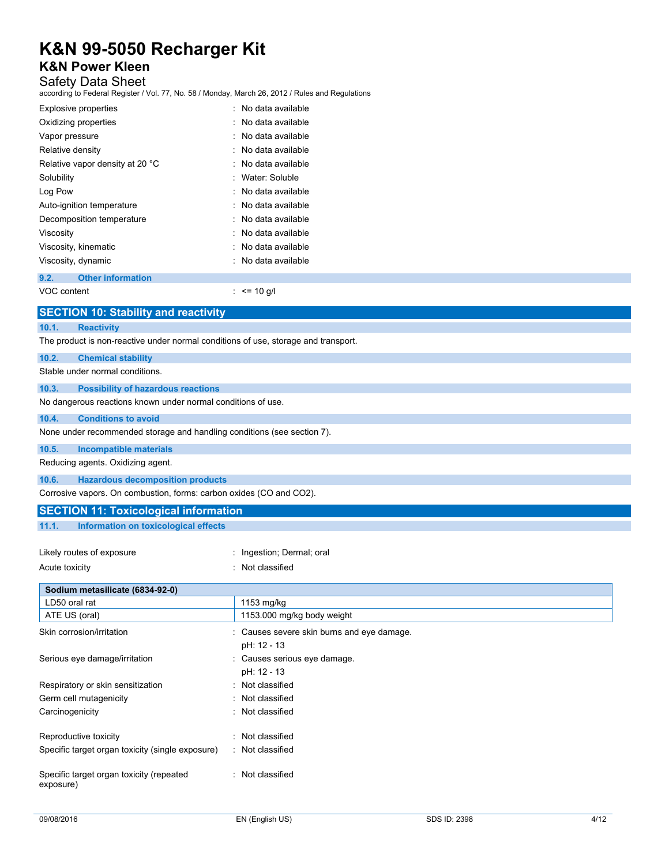# **K&N Power Kleen**

## Safety Data Sheet

according to Federal Register / Vol. 77, No. 58 / Monday, March 26, 2012 / Rules and Regulations

| <b>Explosive properties</b>     | . No data available |
|---------------------------------|---------------------|
| Oxidizing properties            | No data available   |
| Vapor pressure                  | . No data available |
| Relative density                | . No data available |
| Relative vapor density at 20 °C | . No data available |
| Solubility                      | · Water Soluble     |
| Log Pow                         | . No data available |
| Auto-ignition temperature       | . No data available |
| Decomposition temperature       | . No data available |
| Viscosity                       | No data available   |
| Viscosity, kinematic            | No data available   |
| Viscosity, dynamic              | No data available   |
|                                 |                     |

### **9.2. Other information**

VOC content : <= 10 g/l

| <b>SECTION 10: Stability and reactivity</b>                                        |  |
|------------------------------------------------------------------------------------|--|
| <b>Reactivity</b><br>10.1.                                                         |  |
| The product is non-reactive under normal conditions of use, storage and transport. |  |
| 10.2.<br><b>Chemical stability</b>                                                 |  |
| Stable under normal conditions.                                                    |  |
| <b>Possibility of hazardous reactions</b><br>10.3.                                 |  |
| No dangerous reactions known under normal conditions of use.                       |  |
| 10.4.<br><b>Conditions to avoid</b>                                                |  |
| None under recommended storage and handling conditions (see section 7).            |  |
| 10.5.<br><b>Incompatible materials</b>                                             |  |
| Reducing agents. Oxidizing agent.                                                  |  |
| <b>Hazardous decomposition products</b><br>10.6.                                   |  |
| Corrosive vapors. On combustion, forms: carbon oxides (CO and CO2).                |  |
| <b>SECTION 11: Toxicological information</b>                                       |  |

### **11.1. Information on toxicological effects**

| Likely routes of exposure | : Ingestion; Dermal; oral |
|---------------------------|---------------------------|
| Acute toxicity            | : Not classified          |

| Sodium metasilicate (6834-92-0)                       |                                                           |
|-------------------------------------------------------|-----------------------------------------------------------|
| LD50 oral rat                                         | 1153 mg/kg                                                |
| ATE US (oral)                                         | 1153.000 mg/kg body weight                                |
| Skin corrosion/irritation                             | : Causes severe skin burns and eye damage.<br>pH: 12 - 13 |
| Serious eye damage/irritation                         | : Causes serious eye damage.<br>pH: 12 - 13               |
| Respiratory or skin sensitization                     | : Not classified                                          |
| Germ cell mutagenicity                                | : Not classified                                          |
| Carcinogenicity                                       | : Not classified                                          |
| Reproductive toxicity                                 | : Not classified                                          |
| Specific target organ toxicity (single exposure)      | : Not classified                                          |
| Specific target organ toxicity (repeated<br>exposure) | : Not classified                                          |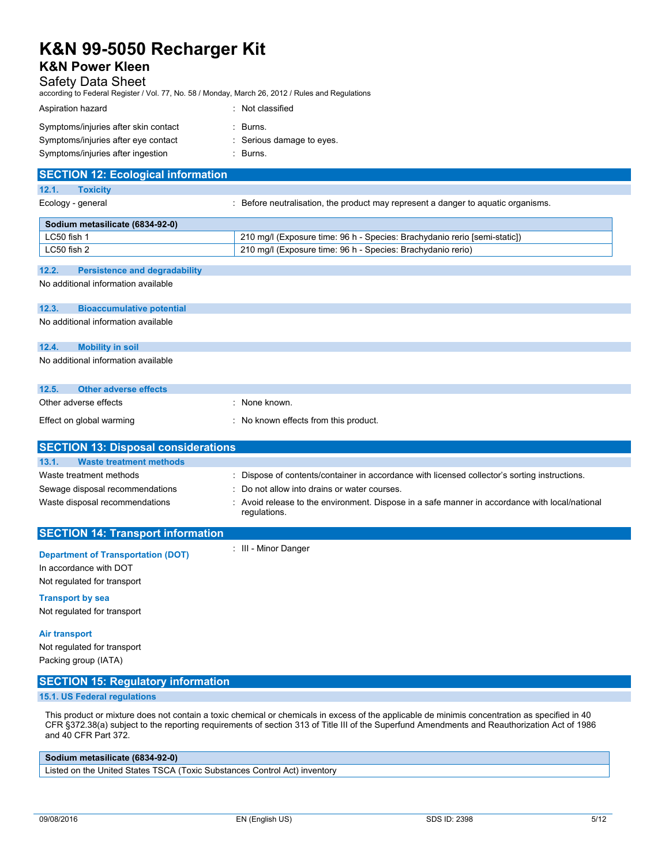## **K&N Power Kleen**

### Safety Data Sheet

according to Federal Register / Vol. 77, No. 58 / Monday, March 26, 2012 / Rules and Regulations

| Aspiration hazard                    | : Not classified          |
|--------------------------------------|---------------------------|
| Symptoms/injuries after skin contact | : Burns.                  |
| Symptoms/injuries after eye contact  | : Serious damage to eyes. |
| Symptoms/injuries after ingestion    | $\therefore$ Burns.       |

| <b>SECTION 12: Ecological information</b>     |                                                                                   |
|-----------------------------------------------|-----------------------------------------------------------------------------------|
| 12.1.<br><b>Toxicity</b>                      |                                                                                   |
| Ecology - general                             | : Before neutralisation, the product may represent a danger to aquatic organisms. |
| Sodium metasilicate (6834-92-0)               |                                                                                   |
| LC50 fish 1                                   | 210 mg/l (Exposure time: 96 h - Species: Brachydanio rerio [semi-static])         |
| LC50 fish 2                                   | 210 mg/l (Exposure time: 96 h - Species: Brachydanio rerio)                       |
| 12.2.<br><b>Persistence and degradability</b> |                                                                                   |
|                                               |                                                                                   |
| No additional information available           |                                                                                   |

# **12.3. Bioaccumulative potential**  No additional information available **12.4. Mobility in soil**  No additional information available

| 12.5. | Other adverse effects    |                                     |
|-------|--------------------------|-------------------------------------|
|       | Other adverse effects    | None known.                         |
|       | Effect on global warming | No known effects from this product. |

| <b>SECTION 13: Disposal considerations</b> |                                                                                                                |
|--------------------------------------------|----------------------------------------------------------------------------------------------------------------|
| 13.1.<br><b>Waste treatment methods</b>    |                                                                                                                |
|                                            |                                                                                                                |
| Waste treatment methods                    | : Dispose of contents/container in accordance with licensed collector's sorting instructions.                  |
| Sewage disposal recommendations            | : Do not allow into drains or water courses.                                                                   |
| Waste disposal recommendations             | : Avoid release to the environment. Dispose in a safe manner in accordance with local/national<br>regulations. |
| <b>SECTION 14: Transport information</b>   |                                                                                                                |

| <b>Department of Transportation (DOT)</b><br>In accordance with DOT<br>Not regulated for transport                                                | : III - Minor Danger |
|---------------------------------------------------------------------------------------------------------------------------------------------------|----------------------|
| <b>Transport by sea</b><br>Not regulated for transport                                                                                            |                      |
| <b>Air transport</b><br><b>All and the contract of the state of the contract of the state of the state of the state of the state of the state</b> |                      |

Not regulated for transport Packing group (IATA)

## **SECTION 15: Regulatory information**

## **15.1. US Federal regulations**

This product or mixture does not contain a toxic chemical or chemicals in excess of the applicable de minimis concentration as specified in 40 CFR §372.38(a) subject to the reporting requirements of section 313 of Title III of the Superfund Amendments and Reauthorization Act of 1986 and 40 CFR Part 372.

## **Sodium metasilicate (6834-92-0)**

Listed on the United States TSCA (Toxic Substances Control Act) inventory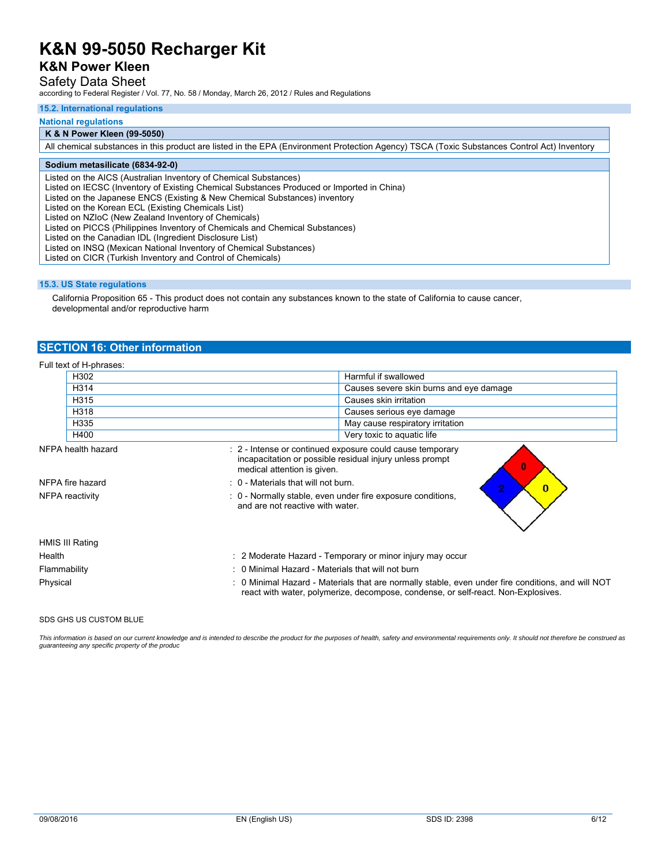## **K&N Power Kleen**

## Safety Data Sheet

according to Federal Register / Vol. 77, No. 58 / Monday, March 26, 2012 / Rules and Regulations

#### **15.2. International regulations**

#### **National regulations**

#### **K & N Power Kleen (99-5050)**

All chemical substances in this product are listed in the EPA (Environment Protection Agency) TSCA (Toxic Substances Control Act) Inventory

### **Sodium metasilicate (6834-92-0)**

Listed on the AICS (Australian Inventory of Chemical Substances)

Listed on IECSC (Inventory of Existing Chemical Substances Produced or Imported in China)

Listed on the Japanese ENCS (Existing & New Chemical Substances) inventory

Listed on the Korean ECL (Existing Chemicals List)

Listed on NZIoC (New Zealand Inventory of Chemicals)

Listed on PICCS (Philippines Inventory of Chemicals and Chemical Substances)

Listed on the Canadian IDL (Ingredient Disclosure List)

Listed on INSQ (Mexican National Inventory of Chemical Substances)

Listed on CICR (Turkish Inventory and Control of Chemicals)

### **15.3. US State regulations**

 California Proposition 65 - This product does not contain any substances known to the state of California to cause cancer, developmental and/or reproductive harm

### **SECTION 16: Other information**

|                  | Full text of H-phrases:                                                                                            |                                                                                                                                                                                        |
|------------------|--------------------------------------------------------------------------------------------------------------------|----------------------------------------------------------------------------------------------------------------------------------------------------------------------------------------|
|                  | H302                                                                                                               | Harmful if swallowed                                                                                                                                                                   |
|                  | H314                                                                                                               | Causes severe skin burns and eye damage                                                                                                                                                |
|                  | H315                                                                                                               | Causes skin irritation                                                                                                                                                                 |
|                  | H318                                                                                                               | Causes serious eye damage                                                                                                                                                              |
|                  | H335                                                                                                               | May cause respiratory irritation                                                                                                                                                       |
|                  | H400                                                                                                               | Very toxic to aquatic life                                                                                                                                                             |
|                  | NFPA health hazard                                                                                                 | : 2 - Intense or continued exposure could cause temporary<br>incapacitation or possible residual injury unless prompt<br>٥<br>medical attention is given.                              |
| NFPA fire hazard |                                                                                                                    | : 0 - Materials that will not burn.<br>$\bf{0}$                                                                                                                                        |
|                  | : 0 - Normally stable, even under fire exposure conditions,<br>NFPA reactivity<br>and are not reactive with water. |                                                                                                                                                                                        |
|                  | HMIS III Rating                                                                                                    |                                                                                                                                                                                        |
| Health           |                                                                                                                    | : 2 Moderate Hazard - Temporary or minor injury may occur                                                                                                                              |
| Flammability     |                                                                                                                    | : 0 Minimal Hazard - Materials that will not burn                                                                                                                                      |
| Physical         |                                                                                                                    | : 0 Minimal Hazard - Materials that are normally stable, even under fire conditions, and will NOT<br>react with water, polymerize, decompose, condense, or self-react. Non-Explosives. |

#### SDS GHS US CUSTOM BLUE

This information is based on our current knowledge and is intended to describe the product for the purposes of health, safety and environmental requirements only. It should not therefore be construed as *guaranteeing any specific property of the produc*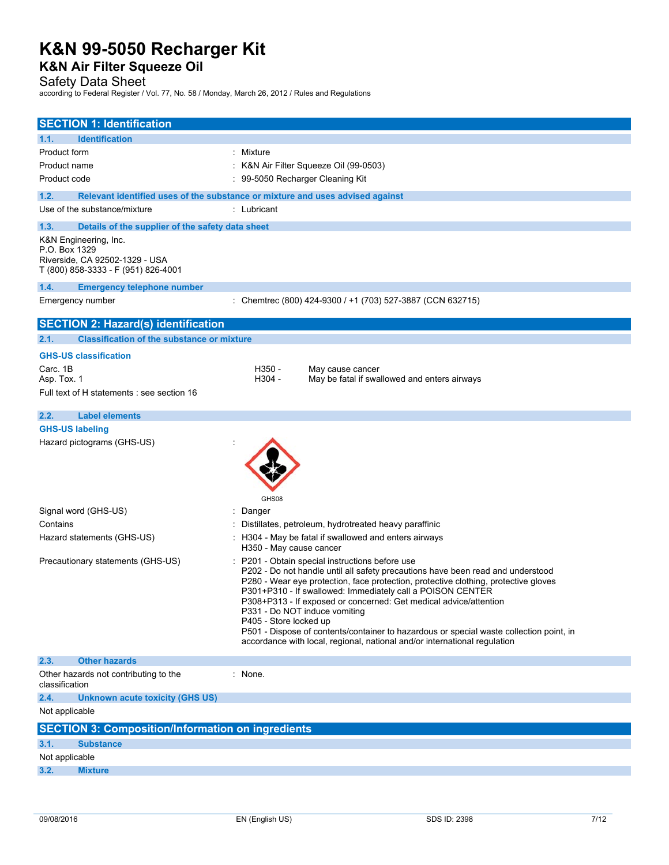# **K&N Air Filter Squeeze Oil**

Safety Data Sheet

according to Federal Register / Vol. 77, No. 58 / Monday, March 26, 2012 / Rules and Regulations

| <b>SECTION 1: Identification</b>                                                                                |                                                                                                                                                                                                                                                                                                                                                                                                                                                                                                                                                                                                                                    |                         |                                                            |  |
|-----------------------------------------------------------------------------------------------------------------|------------------------------------------------------------------------------------------------------------------------------------------------------------------------------------------------------------------------------------------------------------------------------------------------------------------------------------------------------------------------------------------------------------------------------------------------------------------------------------------------------------------------------------------------------------------------------------------------------------------------------------|-------------------------|------------------------------------------------------------|--|
|                                                                                                                 |                                                                                                                                                                                                                                                                                                                                                                                                                                                                                                                                                                                                                                    |                         |                                                            |  |
| <b>Identification</b><br>1.1.                                                                                   |                                                                                                                                                                                                                                                                                                                                                                                                                                                                                                                                                                                                                                    |                         |                                                            |  |
| Product form                                                                                                    |                                                                                                                                                                                                                                                                                                                                                                                                                                                                                                                                                                                                                                    | Mixture                 |                                                            |  |
| Product name                                                                                                    | K&N Air Filter Squeeze Oil (99-0503)<br>99-5050 Recharger Cleaning Kit                                                                                                                                                                                                                                                                                                                                                                                                                                                                                                                                                             |                         |                                                            |  |
| Product code                                                                                                    |                                                                                                                                                                                                                                                                                                                                                                                                                                                                                                                                                                                                                                    |                         |                                                            |  |
| 1.2.                                                                                                            | Relevant identified uses of the substance or mixture and uses advised against                                                                                                                                                                                                                                                                                                                                                                                                                                                                                                                                                      |                         |                                                            |  |
| Use of the substance/mixture                                                                                    |                                                                                                                                                                                                                                                                                                                                                                                                                                                                                                                                                                                                                                    | : Lubricant             |                                                            |  |
| 1.3.                                                                                                            | Details of the supplier of the safety data sheet                                                                                                                                                                                                                                                                                                                                                                                                                                                                                                                                                                                   |                         |                                                            |  |
| K&N Engineering, Inc.<br>P.O. Box 1329<br>Riverside, CA 92502-1329 - USA<br>T (800) 858-3333 - F (951) 826-4001 |                                                                                                                                                                                                                                                                                                                                                                                                                                                                                                                                                                                                                                    |                         |                                                            |  |
| 1.4.                                                                                                            | <b>Emergency telephone number</b>                                                                                                                                                                                                                                                                                                                                                                                                                                                                                                                                                                                                  |                         |                                                            |  |
| Emergency number                                                                                                |                                                                                                                                                                                                                                                                                                                                                                                                                                                                                                                                                                                                                                    |                         | : Chemtrec (800) 424-9300 / +1 (703) 527-3887 (CCN 632715) |  |
| <b>SECTION 2: Hazard(s) identification</b>                                                                      |                                                                                                                                                                                                                                                                                                                                                                                                                                                                                                                                                                                                                                    |                         |                                                            |  |
| 2.1.                                                                                                            | <b>Classification of the substance or mixture</b>                                                                                                                                                                                                                                                                                                                                                                                                                                                                                                                                                                                  |                         |                                                            |  |
| <b>GHS-US classification</b>                                                                                    |                                                                                                                                                                                                                                                                                                                                                                                                                                                                                                                                                                                                                                    |                         |                                                            |  |
| Carc. 1B                                                                                                        |                                                                                                                                                                                                                                                                                                                                                                                                                                                                                                                                                                                                                                    | $H350 -$                | May cause cancer                                           |  |
| Asp. Tox. 1                                                                                                     |                                                                                                                                                                                                                                                                                                                                                                                                                                                                                                                                                                                                                                    | H304 -                  | May be fatal if swallowed and enters airways               |  |
| Full text of H statements : see section 16                                                                      |                                                                                                                                                                                                                                                                                                                                                                                                                                                                                                                                                                                                                                    |                         |                                                            |  |
| 2.2.<br><b>Label elements</b>                                                                                   |                                                                                                                                                                                                                                                                                                                                                                                                                                                                                                                                                                                                                                    |                         |                                                            |  |
| <b>GHS-US labeling</b>                                                                                          |                                                                                                                                                                                                                                                                                                                                                                                                                                                                                                                                                                                                                                    |                         |                                                            |  |
| Hazard pictograms (GHS-US)                                                                                      |                                                                                                                                                                                                                                                                                                                                                                                                                                                                                                                                                                                                                                    | GHS08                   |                                                            |  |
| Signal word (GHS-US)                                                                                            |                                                                                                                                                                                                                                                                                                                                                                                                                                                                                                                                                                                                                                    | : Danger                |                                                            |  |
| Contains                                                                                                        |                                                                                                                                                                                                                                                                                                                                                                                                                                                                                                                                                                                                                                    |                         | Distillates, petroleum, hydrotreated heavy paraffinic      |  |
| Hazard statements (GHS-US)                                                                                      |                                                                                                                                                                                                                                                                                                                                                                                                                                                                                                                                                                                                                                    | H350 - May cause cancer | H304 - May be fatal if swallowed and enters airways        |  |
|                                                                                                                 | P201 - Obtain special instructions before use<br>Precautionary statements (GHS-US)<br>P202 - Do not handle until all safety precautions have been read and understood<br>P280 - Wear eye protection, face protection, protective clothing, protective gloves<br>P301+P310 - If swallowed: Immediately call a POISON CENTER<br>P308+P313 - If exposed or concerned: Get medical advice/attention<br>P331 - Do NOT induce vomiting<br>P405 - Store locked up<br>P501 - Dispose of contents/container to hazardous or special waste collection point, in<br>accordance with local, regional, national and/or international regulation |                         |                                                            |  |
| 2.3.<br><b>Other hazards</b>                                                                                    |                                                                                                                                                                                                                                                                                                                                                                                                                                                                                                                                                                                                                                    |                         |                                                            |  |
| Other hazards not contributing to the<br>classification                                                         |                                                                                                                                                                                                                                                                                                                                                                                                                                                                                                                                                                                                                                    | : None.                 |                                                            |  |
| 2.4.                                                                                                            | <b>Unknown acute toxicity (GHS US)</b>                                                                                                                                                                                                                                                                                                                                                                                                                                                                                                                                                                                             |                         |                                                            |  |
| Not applicable                                                                                                  |                                                                                                                                                                                                                                                                                                                                                                                                                                                                                                                                                                                                                                    |                         |                                                            |  |
|                                                                                                                 | <b>SECTION 3: Composition/Information on ingredients</b>                                                                                                                                                                                                                                                                                                                                                                                                                                                                                                                                                                           |                         |                                                            |  |
| 3.1.<br><b>Substance</b>                                                                                        |                                                                                                                                                                                                                                                                                                                                                                                                                                                                                                                                                                                                                                    |                         |                                                            |  |
| Not applicable                                                                                                  |                                                                                                                                                                                                                                                                                                                                                                                                                                                                                                                                                                                                                                    |                         |                                                            |  |
| 3.2.<br><b>Mixture</b>                                                                                          |                                                                                                                                                                                                                                                                                                                                                                                                                                                                                                                                                                                                                                    |                         |                                                            |  |
|                                                                                                                 |                                                                                                                                                                                                                                                                                                                                                                                                                                                                                                                                                                                                                                    |                         |                                                            |  |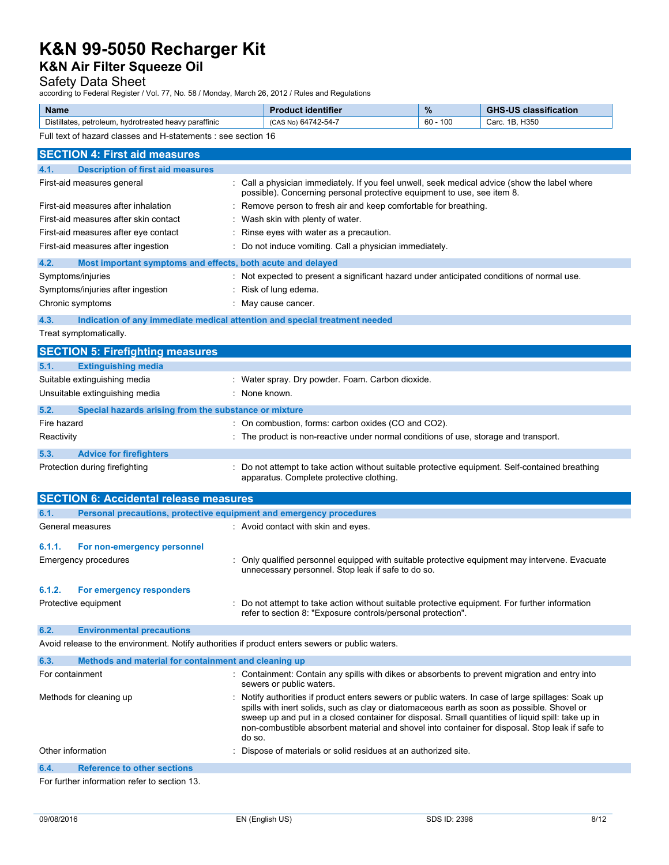# **K&N Air Filter Squeeze Oil**

# Safety Data Sheet

according to Federal Register / Vol. 77, No. 58 / Monday, March 26, 2012 / Rules and Regulations

| <b>Name</b>                                                           | <b>identifier</b><br>. | $\frac{9}{6}$ | <b>CHC</b><br>11C<br>sification<br>clas |
|-----------------------------------------------------------------------|------------------------|---------------|-----------------------------------------|
| <br>Distillates.<br>' heavy paraffinic<br>petroleum<br>. hvdrotreated | +742-54-7<br>(CAS)     | 100<br>60     | 11250<br>םו<br>"<br>Garc.<br>ႨაჂႱ       |

Full text of hazard classes and H-statements : see section 16

| <b>SECTION 4: First aid measures</b>                                                            |                                                                                                                                                                                                                                                                                                                                                                                                                      |  |  |  |
|-------------------------------------------------------------------------------------------------|----------------------------------------------------------------------------------------------------------------------------------------------------------------------------------------------------------------------------------------------------------------------------------------------------------------------------------------------------------------------------------------------------------------------|--|--|--|
| <b>Description of first aid measures</b><br>4.1.                                                |                                                                                                                                                                                                                                                                                                                                                                                                                      |  |  |  |
| First-aid measures general                                                                      | : Call a physician immediately. If you feel unwell, seek medical advice (show the label where<br>possible). Concerning personal protective equipment to use, see item 8.                                                                                                                                                                                                                                             |  |  |  |
| First-aid measures after inhalation                                                             | : Remove person to fresh air and keep comfortable for breathing.                                                                                                                                                                                                                                                                                                                                                     |  |  |  |
| First-aid measures after skin contact                                                           | Wash skin with plenty of water.                                                                                                                                                                                                                                                                                                                                                                                      |  |  |  |
| First-aid measures after eye contact                                                            | Rinse eyes with water as a precaution.                                                                                                                                                                                                                                                                                                                                                                               |  |  |  |
| First-aid measures after ingestion                                                              | : Do not induce vomiting. Call a physician immediately.                                                                                                                                                                                                                                                                                                                                                              |  |  |  |
|                                                                                                 |                                                                                                                                                                                                                                                                                                                                                                                                                      |  |  |  |
| 4.2.<br>Most important symptoms and effects, both acute and delayed<br>Symptoms/injuries        | : Not expected to present a significant hazard under anticipated conditions of normal use.                                                                                                                                                                                                                                                                                                                           |  |  |  |
| Symptoms/injuries after ingestion                                                               | : Risk of lung edema.                                                                                                                                                                                                                                                                                                                                                                                                |  |  |  |
| Chronic symptoms                                                                                | : May cause cancer.                                                                                                                                                                                                                                                                                                                                                                                                  |  |  |  |
|                                                                                                 |                                                                                                                                                                                                                                                                                                                                                                                                                      |  |  |  |
| Indication of any immediate medical attention and special treatment needed<br>4.3.              |                                                                                                                                                                                                                                                                                                                                                                                                                      |  |  |  |
| Treat symptomatically.                                                                          |                                                                                                                                                                                                                                                                                                                                                                                                                      |  |  |  |
| <b>SECTION 5: Firefighting measures</b>                                                         |                                                                                                                                                                                                                                                                                                                                                                                                                      |  |  |  |
| 5.1.<br><b>Extinguishing media</b>                                                              |                                                                                                                                                                                                                                                                                                                                                                                                                      |  |  |  |
| Suitable extinguishing media                                                                    | : Water spray. Dry powder. Foam. Carbon dioxide.                                                                                                                                                                                                                                                                                                                                                                     |  |  |  |
| Unsuitable extinguishing media                                                                  | : None known.                                                                                                                                                                                                                                                                                                                                                                                                        |  |  |  |
| 5.2.<br>Special hazards arising from the substance or mixture                                   |                                                                                                                                                                                                                                                                                                                                                                                                                      |  |  |  |
| Fire hazard                                                                                     | : On combustion, forms: carbon oxides (CO and CO2).                                                                                                                                                                                                                                                                                                                                                                  |  |  |  |
| Reactivity                                                                                      | : The product is non-reactive under normal conditions of use, storage and transport.                                                                                                                                                                                                                                                                                                                                 |  |  |  |
| 5.3.<br><b>Advice for firefighters</b>                                                          |                                                                                                                                                                                                                                                                                                                                                                                                                      |  |  |  |
| Protection during firefighting                                                                  | : Do not attempt to take action without suitable protective equipment. Self-contained breathing<br>apparatus. Complete protective clothing.                                                                                                                                                                                                                                                                          |  |  |  |
| <b>SECTION 6: Accidental release measures</b>                                                   |                                                                                                                                                                                                                                                                                                                                                                                                                      |  |  |  |
| Personal precautions, protective equipment and emergency procedures<br>6.1.                     |                                                                                                                                                                                                                                                                                                                                                                                                                      |  |  |  |
| General measures                                                                                | : Avoid contact with skin and eyes.                                                                                                                                                                                                                                                                                                                                                                                  |  |  |  |
| 6.1.1.<br>For non-emergency personnel                                                           |                                                                                                                                                                                                                                                                                                                                                                                                                      |  |  |  |
| Emergency procedures                                                                            | : Only qualified personnel equipped with suitable protective equipment may intervene. Evacuate<br>unnecessary personnel. Stop leak if safe to do so.                                                                                                                                                                                                                                                                 |  |  |  |
| 6.1.2.<br>For emergency responders                                                              |                                                                                                                                                                                                                                                                                                                                                                                                                      |  |  |  |
| Protective equipment                                                                            | : Do not attempt to take action without suitable protective equipment. For further information<br>refer to section 8: "Exposure controls/personal protection".                                                                                                                                                                                                                                                       |  |  |  |
| 6.2.<br><b>Environmental precautions</b>                                                        |                                                                                                                                                                                                                                                                                                                                                                                                                      |  |  |  |
| Avoid release to the environment. Notify authorities if product enters sewers or public waters. |                                                                                                                                                                                                                                                                                                                                                                                                                      |  |  |  |
| 6.3.<br>Methods and material for containment and cleaning up                                    |                                                                                                                                                                                                                                                                                                                                                                                                                      |  |  |  |
| For containment                                                                                 | : Containment: Contain any spills with dikes or absorbents to prevent migration and entry into<br>sewers or public waters.                                                                                                                                                                                                                                                                                           |  |  |  |
| Methods for cleaning up                                                                         | . Notify authorities if product enters sewers or public waters. In case of large spillages: Soak up<br>spills with inert solids, such as clay or diatomaceous earth as soon as possible. Shovel or<br>sweep up and put in a closed container for disposal. Small quantities of liquid spill: take up in<br>non-combustible absorbent material and shovel into container for disposal. Stop leak if safe to<br>do so. |  |  |  |
| Other information                                                                               | Dispose of materials or solid residues at an authorized site.                                                                                                                                                                                                                                                                                                                                                        |  |  |  |
| <b>Reference to other sections</b><br>6.4.                                                      |                                                                                                                                                                                                                                                                                                                                                                                                                      |  |  |  |
| For further information refer to section 13.                                                    |                                                                                                                                                                                                                                                                                                                                                                                                                      |  |  |  |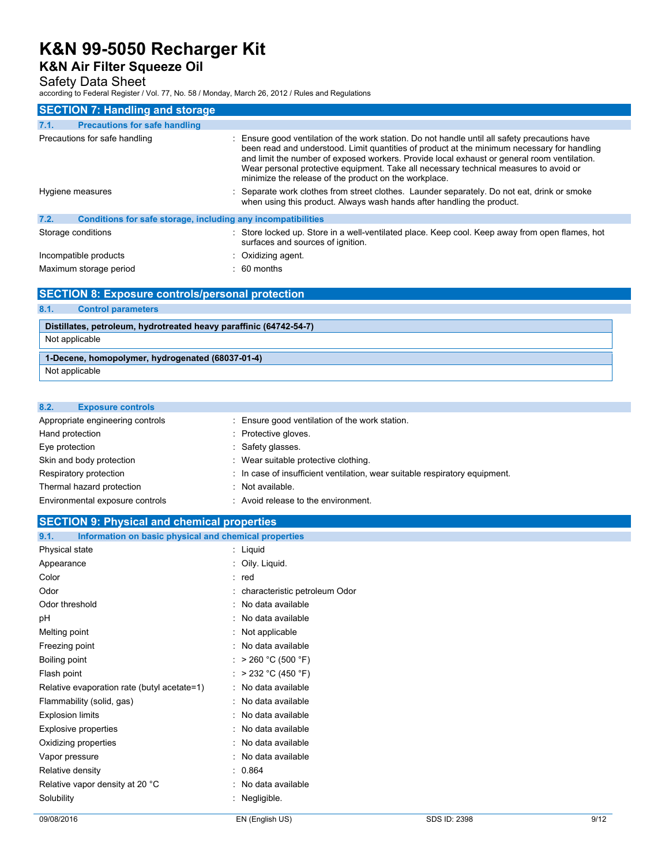# **K&N Air Filter Squeeze Oil**

## Safety Data Sheet

according to Federal Register / Vol. 77, No. 58 / Monday, March 26, 2012 / Rules and Regulations

| <b>SECTION 7: Handling and storage</b>                               |                                                                                                                                                                                                                                                                                                                                                                                                                                                |  |  |  |
|----------------------------------------------------------------------|------------------------------------------------------------------------------------------------------------------------------------------------------------------------------------------------------------------------------------------------------------------------------------------------------------------------------------------------------------------------------------------------------------------------------------------------|--|--|--|
| <b>Precautions for safe handling</b><br>7.1.                         |                                                                                                                                                                                                                                                                                                                                                                                                                                                |  |  |  |
| Precautions for safe handling                                        | : Ensure good ventilation of the work station. Do not handle until all safety precautions have<br>been read and understood. Limit quantities of product at the minimum necessary for handling<br>and limit the number of exposed workers. Provide local exhaust or general room ventilation.<br>Wear personal protective equipment. Take all necessary technical measures to avoid or<br>minimize the release of the product on the workplace. |  |  |  |
| Hygiene measures                                                     | : Separate work clothes from street clothes. Launder separately. Do not eat, drink or smoke<br>when using this product. Always wash hands after handling the product.                                                                                                                                                                                                                                                                          |  |  |  |
| 7.2.<br>Conditions for safe storage, including any incompatibilities |                                                                                                                                                                                                                                                                                                                                                                                                                                                |  |  |  |
| Storage conditions                                                   | : Store locked up. Store in a well-ventilated place. Keep cool. Keep away from open flames, hot<br>surfaces and sources of ignition.                                                                                                                                                                                                                                                                                                           |  |  |  |
| Incompatible products                                                | : Oxidizing agent.                                                                                                                                                                                                                                                                                                                                                                                                                             |  |  |  |
| Maximum storage period                                               | $\therefore$ 60 months                                                                                                                                                                                                                                                                                                                                                                                                                         |  |  |  |

## **SECTION 8: Exposure controls/personal protection**

## **8.1. Control parameters**

# **Distillates, petroleum, hydrotreated heavy paraffinic (64742-54-7)**

Not applicable

# **1-Decene, homopolymer, hydrogenated (68037-01-4)**

Not applicable

### **8.2. Exposure controls**

| Appropriate engineering controls | : Ensure good ventilation of the work station.                              |
|----------------------------------|-----------------------------------------------------------------------------|
| Hand protection                  | : Protective gloves.                                                        |
| Eye protection                   | : Safety glasses.                                                           |
| Skin and body protection         | : Wear suitable protective clothing.                                        |
| Respiratory protection           | : In case of insufficient ventilation, wear suitable respiratory equipment. |
| Thermal hazard protection        | : Not available.                                                            |
| Environmental exposure controls  | : Avoid release to the environment.                                         |

## **SECTION 9: Physical and chemical properties**

| 9.1.       | Information on basic physical and chemical properties |  |                                 |
|------------|-------------------------------------------------------|--|---------------------------------|
|            | Physical state                                        |  | : Liquid                        |
|            | Appearance                                            |  | : Oily. Liquid.                 |
| Color      |                                                       |  | : red                           |
| Odor       |                                                       |  | : characteristic petroleum Odor |
|            | Odor threshold                                        |  | : No data available             |
| рH         |                                                       |  | : No data available             |
|            | Melting point                                         |  | : Not applicable                |
|            | Freezing point                                        |  | : No data available             |
|            | Boiling point                                         |  | : > 260 °C (500 °F)             |
|            | Flash point                                           |  | : > 232 °C (450 °F)             |
|            | Relative evaporation rate (butyl acetate=1)           |  | : No data available             |
|            | Flammability (solid, gas)                             |  | : No data available             |
|            | <b>Explosion limits</b>                               |  | : No data available             |
|            | <b>Explosive properties</b>                           |  | : No data available             |
|            | Oxidizing properties                                  |  | $:$ No data available           |
|            | Vapor pressure                                        |  | : No data available             |
|            | Relative density                                      |  | : 0.864                         |
|            | Relative vapor density at 20 °C                       |  | No data available               |
| Solubility |                                                       |  | Negligible.                     |
|            |                                                       |  |                                 |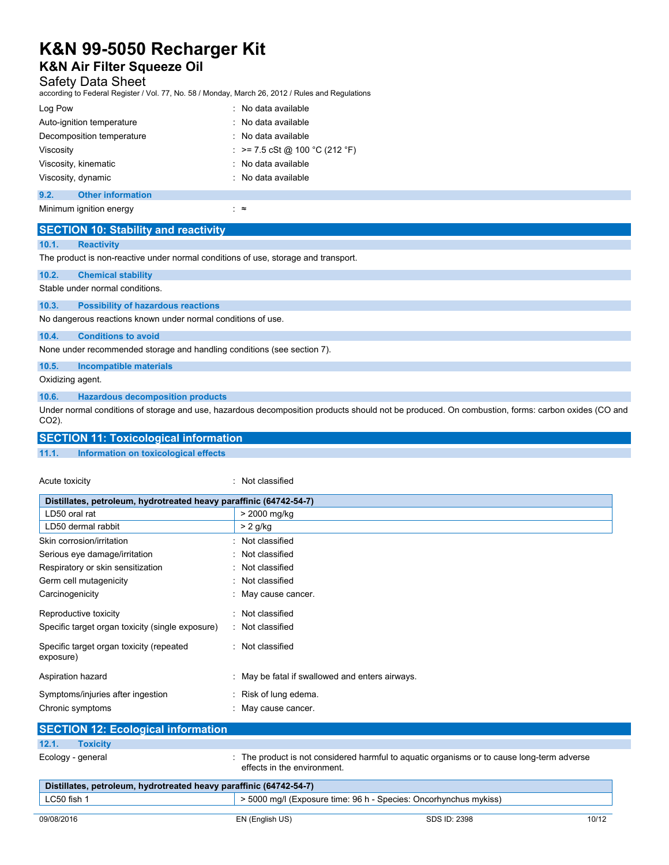# **K&N Air Filter Squeeze Oil**

## Safety Data Sheet

according to Federal Register / Vol. 77, No. 58 / Monday, March 26, 2012 / Rules and Regulations

| Log Pow                   |                          | $\therefore$ No data available |
|---------------------------|--------------------------|--------------------------------|
| Auto-ignition temperature |                          | : No data available            |
| Decomposition temperature |                          | $\therefore$ No data available |
| Viscosity                 |                          | : >= 7.5 cSt @ 100 °C (212 °F) |
| Viscosity, kinematic      |                          | : No data available            |
| Viscosity, dynamic        |                          | $\therefore$ No data available |
|                           |                          |                                |
| 9.2.                      | <b>Other information</b> |                                |

Minimum ignition energy interval and the set of set of set of set of set of set of set of set of set of set of set of set of set of set of set of set of set of set of set of set of set of set of set of set of set of set o

|                                                              | <b>SECTION 10: Stability and reactivity</b>                                        |  |  |
|--------------------------------------------------------------|------------------------------------------------------------------------------------|--|--|
| 10.1.                                                        | <b>Reactivity</b>                                                                  |  |  |
|                                                              | The product is non-reactive under normal conditions of use, storage and transport. |  |  |
| 10.2.                                                        | <b>Chemical stability</b>                                                          |  |  |
|                                                              | Stable under normal conditions.                                                    |  |  |
| 10.3.                                                        | <b>Possibility of hazardous reactions</b>                                          |  |  |
| No dangerous reactions known under normal conditions of use. |                                                                                    |  |  |
| 10.4.                                                        | <b>Conditions to avoid</b>                                                         |  |  |
|                                                              | None under recommended storage and handling conditions (see section 7).            |  |  |
| 10.5.                                                        | <b>Incompatible materials</b>                                                      |  |  |

Oxidizing agent.

**10.6. Hazardous decomposition products** 

Under normal conditions of storage and use, hazardous decomposition products should not be produced. On combustion, forms: carbon oxides (CO and CO2).

## **SECTION 11: Toxicological information**

#### **11.1. Information on toxicological effects**

Acute toxicity **in the case of the CALIC CONTEX** and Acute toxicity **in the case of the case of the case of the case of the case of the case of the case of the case of the case of the case of the case of the case of the ca** 

| Distillates, petroleum, hydrotreated heavy paraffinic (64742-54-7) |                                                 |  |  |
|--------------------------------------------------------------------|-------------------------------------------------|--|--|
| LD50 oral rat                                                      | > 2000 mg/kg                                    |  |  |
| LD50 dermal rabbit                                                 | $> 2$ g/kg                                      |  |  |
| Skin corrosion/irritation                                          | : Not classified                                |  |  |
| Serious eye damage/irritation                                      | : Not classified                                |  |  |
| Respiratory or skin sensitization                                  | : Not classified                                |  |  |
| Germ cell mutagenicity                                             | : Not classified                                |  |  |
| Carcinogenicity                                                    | : May cause cancer.                             |  |  |
| Reproductive toxicity                                              | : Not classified                                |  |  |
| Specific target organ toxicity (single exposure)                   | : Not classified                                |  |  |
| Specific target organ toxicity (repeated<br>exposure)              | : Not classified                                |  |  |
| Aspiration hazard                                                  | : May be fatal if swallowed and enters airways. |  |  |
| Symptoms/injuries after ingestion                                  | : Risk of lung edema.                           |  |  |
| Chronic symptoms                                                   | : May cause cancer.                             |  |  |
| <b>SECTION 12: Ecological information</b>                          |                                                 |  |  |

| $\begin{bmatrix} 0 & 1 & 1 & 1 \\ 0 & 0 & 1 & 1 \end{bmatrix} \begin{bmatrix} 0 & 1 & 1 & 1 \\ 0 & 1 & 1 & 1 \end{bmatrix} \begin{bmatrix} 0 & 0 & 0 & 0 \\ 0 & 0 & 0 & 0 \\ 0 & 0 & 0 & 1 \end{bmatrix} \begin{bmatrix} 0 & 0 & 0 & 0 \\ 0 & 0 & 0 & 0 \\ 0 & 0 & 0 & 1 \end{bmatrix}$ |                                                                                                                          |  |
|-----------------------------------------------------------------------------------------------------------------------------------------------------------------------------------------------------------------------------------------------------------------------------------------|--------------------------------------------------------------------------------------------------------------------------|--|
| 12.1.<br><b>Toxicity</b>                                                                                                                                                                                                                                                                |                                                                                                                          |  |
| Ecology - general                                                                                                                                                                                                                                                                       | : The product is not considered harmful to aguatic organisms or to cause long-term adverse<br>effects in the environment |  |
| Distillates, petroleum, hydrotreated heavy paraffinic (64742-54-7)                                                                                                                                                                                                                      |                                                                                                                          |  |
| LC50 fish 1                                                                                                                                                                                                                                                                             | > 5000 mg/l (Exposure time: 96 h - Species: Oncorhynchus mykiss)                                                         |  |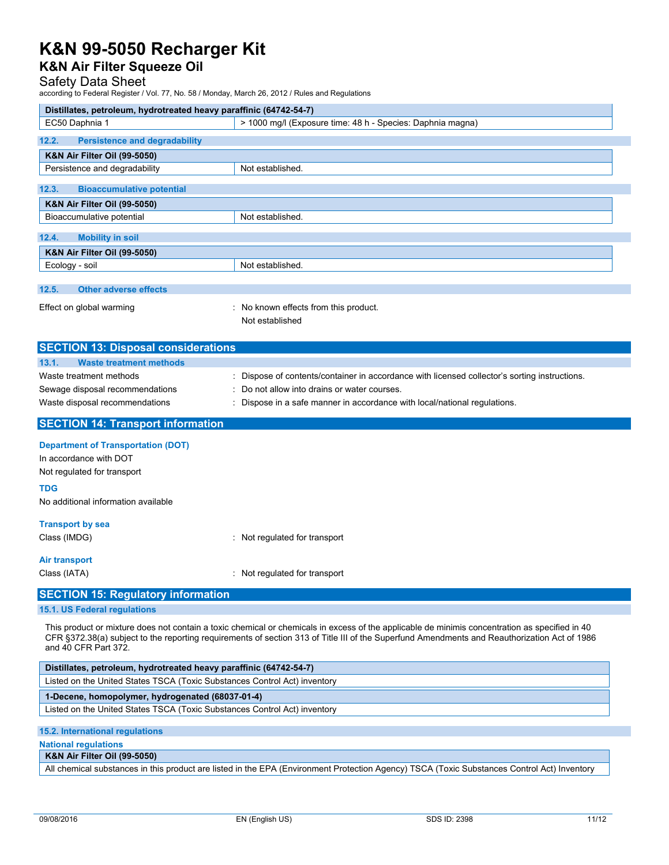## **K&N Air Filter Squeeze Oil**

## Safety Data Sheet

according to Federal Register / Vol. 77, No. 58 / Monday, March 26, 2012 / Rules and Regulations

| Distillates, petroleum, hydrotreated heavy paraffinic (64742-54-7) |                                                                                               |
|--------------------------------------------------------------------|-----------------------------------------------------------------------------------------------|
| EC50 Daphnia 1                                                     | > 1000 mg/l (Exposure time: 48 h - Species: Daphnia magna)                                    |
| <b>Persistence and degradability</b><br>12.2.                      |                                                                                               |
| <b>K&amp;N Air Filter Oil (99-5050)</b>                            |                                                                                               |
| Persistence and degradability                                      | Not established.                                                                              |
| 12.3.<br><b>Bioaccumulative potential</b>                          |                                                                                               |
| <b>K&amp;N Air Filter Oil (99-5050)</b>                            |                                                                                               |
| Bioaccumulative potential                                          | Not established.                                                                              |
| 12.4.<br><b>Mobility in soil</b>                                   |                                                                                               |
| <b>K&amp;N Air Filter Oil (99-5050)</b>                            |                                                                                               |
| Ecology - soil                                                     | Not established.                                                                              |
| <b>Other adverse effects</b><br>12.5.                              |                                                                                               |
| Effect on global warming                                           | : No known effects from this product.<br>Not established                                      |
| <b>SECTION 13: Disposal considerations</b>                         |                                                                                               |
| <b>Waste treatment methods</b><br>13.1.                            |                                                                                               |
| Waste treatment methods                                            | : Dispose of contents/container in accordance with licensed collector's sorting instructions. |

Sewage disposal recommendations : Do not allow into drains or water courses.

Waste disposal recommendations : Dispose in a safe manner in accordance with local/national regulations.

### **SECTION 14: Transport information**

**Department of Transportation (DOT)** 

In accordance with DOT Not regulated for transport

#### **TDG**

No additional information available

### **Transport by sea**

Class (IMDG) : Not regulated for transport

### **Air transport**

Class (IATA) : Not regulated for transport

## **SECTION 15: Regulatory information**

**15.1. US Federal regulations** 

This product or mixture does not contain a toxic chemical or chemicals in excess of the applicable de minimis concentration as specified in 40 CFR §372.38(a) subject to the reporting requirements of section 313 of Title III of the Superfund Amendments and Reauthorization Act of 1986 and 40 CFR Part 372.

| Distillates, petroleum, hydrotreated heavy paraffinic (64742-54-7)        |  |  |
|---------------------------------------------------------------------------|--|--|
| Listed on the United States TSCA (Toxic Substances Control Act) inventory |  |  |
| 1-Decene, homopolymer, hydrogenated (68037-01-4)                          |  |  |
| Listed on the United States TSCA (Toxic Substances Control Act) inventory |  |  |
|                                                                           |  |  |

### **15.2. International regulations**

**National regulations** 

### **K&N Air Filter Oil (99-5050)**

All chemical substances in this product are listed in the EPA (Environment Protection Agency) TSCA (Toxic Substances Control Act) Inventory